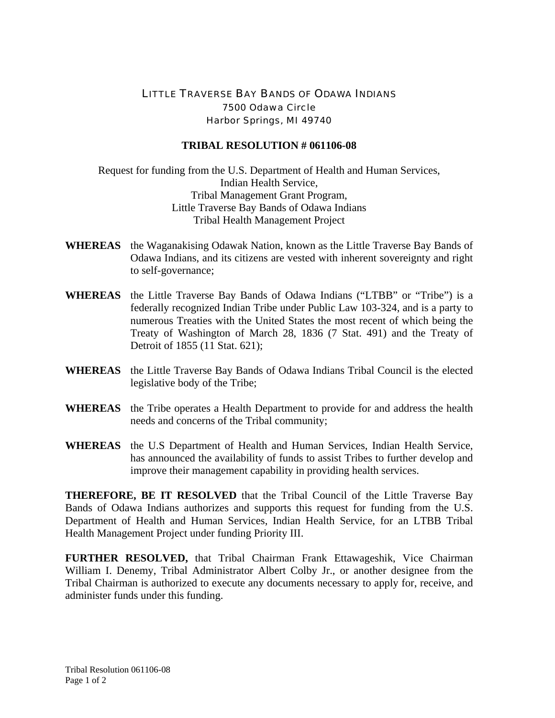## LITTLE TRAVERSE BAY BANDS OF ODAWA INDIANS 7500 Odawa Circle Harbor Springs, MI 49740

## **TRIBAL RESOLUTION # 061106-08**

Request for funding from the U.S. Department of Health and Human Services, Indian Health Service, Tribal Management Grant Program, Little Traverse Bay Bands of Odawa Indians Tribal Health Management Project

- **WHEREAS** the Waganakising Odawak Nation, known as the Little Traverse Bay Bands of Odawa Indians, and its citizens are vested with inherent sovereignty and right to self-governance;
- **WHEREAS** the Little Traverse Bay Bands of Odawa Indians ("LTBB" or "Tribe") is a federally recognized Indian Tribe under Public Law 103-324, and is a party to numerous Treaties with the United States the most recent of which being the Treaty of Washington of March 28, 1836 (7 Stat. 491) and the Treaty of Detroit of 1855 (11 Stat. 621);
- **WHEREAS** the Little Traverse Bay Bands of Odawa Indians Tribal Council is the elected legislative body of the Tribe;
- **WHEREAS** the Tribe operates a Health Department to provide for and address the health needs and concerns of the Tribal community;
- **WHEREAS** the U.S Department of Health and Human Services, Indian Health Service, has announced the availability of funds to assist Tribes to further develop and improve their management capability in providing health services.

**THEREFORE, BE IT RESOLVED** that the Tribal Council of the Little Traverse Bay Bands of Odawa Indians authorizes and supports this request for funding from the U.S. Department of Health and Human Services, Indian Health Service, for an LTBB Tribal Health Management Project under funding Priority III.

**FURTHER RESOLVED,** that Tribal Chairman Frank Ettawageshik, Vice Chairman William I. Denemy, Tribal Administrator Albert Colby Jr., or another designee from the Tribal Chairman is authorized to execute any documents necessary to apply for, receive, and administer funds under this funding.